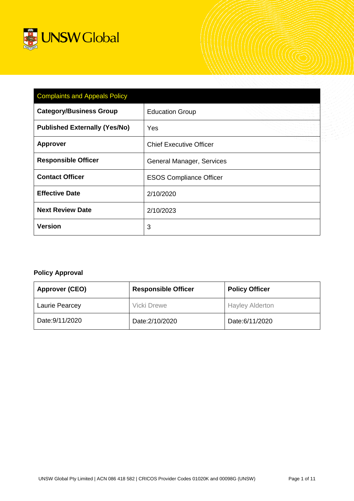

| <b>Complaints and Appeals Policy</b> |                                |  |  |  |
|--------------------------------------|--------------------------------|--|--|--|
| <b>Category/Business Group</b>       | <b>Education Group</b>         |  |  |  |
| <b>Published Externally (Yes/No)</b> | Yes                            |  |  |  |
| <b>Approver</b>                      | <b>Chief Executive Officer</b> |  |  |  |
| <b>Responsible Officer</b>           | General Manager, Services      |  |  |  |
| <b>Contact Officer</b>               | <b>ESOS Compliance Officer</b> |  |  |  |
| <b>Effective Date</b>                | 2/10/2020                      |  |  |  |
| <b>Next Review Date</b>              | 2/10/2023                      |  |  |  |
| <b>Version</b>                       | 3                              |  |  |  |

# **Policy Approval**

| <b>Approver (CEO)</b> | <b>Responsible Officer</b> | <b>Policy Officer</b>  |
|-----------------------|----------------------------|------------------------|
| <b>Laurie Pearcey</b> | Vicki Drewe                | <b>Hayley Alderton</b> |
| Date: 9/11/2020       | Date: 2/10/2020            | Date:6/11/2020         |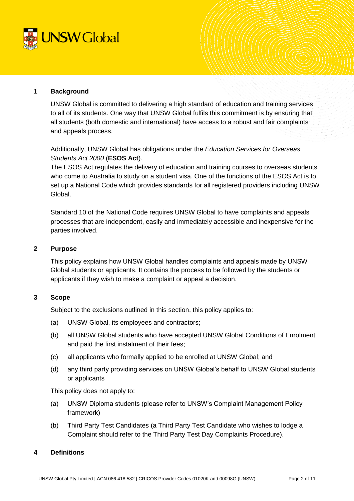

### **1 Background**

UNSW Global is committed to delivering a high standard of education and training services to all of its students. One way that UNSW Global fulfils this commitment is by ensuring that all students (both domestic and international) have access to a robust and fair complaints and appeals process.

Additionally, UNSW Global has obligations under the *Education Services for Overseas Students Act 2000* (**ESOS Act**).

The ESOS Act regulates the delivery of education and training courses to overseas students who come to Australia to study on a student visa. One of the functions of the ESOS Act is to set up a National Code which provides standards for all registered providers including UNSW Global.

Standard 10 of the National Code requires UNSW Global to have complaints and appeals processes that are independent, easily and immediately accessible and inexpensive for the parties involved.

### **2 Purpose**

This policy explains how UNSW Global handles complaints and appeals made by UNSW Global students or applicants. It contains the process to be followed by the students or applicants if they wish to make a complaint or appeal a decision.

## **3 Scope**

Subject to the exclusions outlined in this section, this policy applies to:

- (a) UNSW Global, its employees and contractors;
- (b) all UNSW Global students who have accepted UNSW Global Conditions of Enrolment and paid the first instalment of their fees;
- (c) all applicants who formally applied to be enrolled at UNSW Global; and
- (d) any third party providing services on UNSW Global's behalf to UNSW Global students or applicants

This policy does not apply to:

- (a) UNSW Diploma students (please refer to UNSW's Complaint Management Policy framework)
- (b) Third Party Test Candidates (a Third Party Test Candidate who wishes to lodge a Complaint should refer to the Third Party Test Day Complaints Procedure).

## **4 Definitions**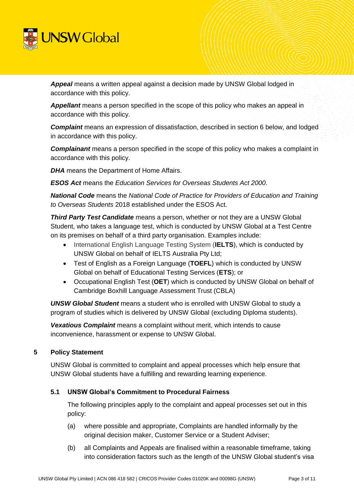

*Appeal* means a written appeal against a dec**i**sion made by UNSW Global lodged in accordance with this policy.

*Appellant* means a person specified in the scope of this policy who makes an appeal in accordance with this policy.

*Complaint* means an expression of dissatisfaction, described in section 6 below, and lodged in accordance with this policy.

*Complainant* means a person specified in the scope of this policy who makes a complaint in accordance with this policy.

*DHA* means the Department of Home Affairs.

*ESOS Act* means the *Education Services for Overseas Students Act 2000*.

*National Code* means the *National Code of Practice for Providers of Education and Training to Overseas Students* 2018 established under the ESOS Act.

*Third Party Test Candidate* means a person, whether or not they are a UNSW Global Student, who takes a language test, which is conducted by UNSW Global at a Test Centre on its premises on behalf of a third party organisation. Examples include:

- International English Language Testing System (**IELTS**), which is conducted by UNSW Global on behalf of IELTS Australia Pty Ltd;
- Test of English as a Foreign Language (**TOEFL**) which is conducted by UNSW Global on behalf of Educational Testing Services (**ETS**); or
- Occupational English Test (**OET**) which is conducted by UNSW Global on behalf of Cambridge Boxhill Language Assessment Trust (CBLA)

*UNSW Global Student* means a student who is enrolled with UNSW Global to study a program of studies which is delivered by UNSW Global (excluding Diploma students).

*Vexatious Complaint* means a complaint without merit, which intends to cause inconvenience, harassment or expense to UNSW Global.

## **5 Policy Statement**

UNSW Global is committed to complaint and appeal processes which help ensure that UNSW Global students have a fulfilling and rewarding learning experience.

## **5.1 UNSW Global's Commitment to Procedural Fairness**

The following principles apply to the complaint and appeal processes set out in this policy:

- (a) where possible and appropriate, Complaints are handled informally by the original decision maker, Customer Service or a Student Adviser;
- (b) all Complaints and Appeals are finalised within a reasonable timeframe, taking into consideration factors such as the length of the UNSW Global student's visa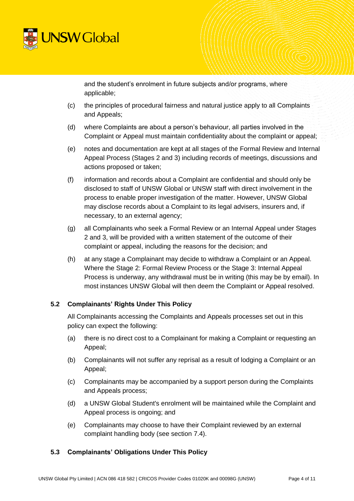

and the student's enrolment in future subjects and/or programs, where applicable;

- (c) the principles of procedural fairness and natural justice apply to all Complaints and Appeals;
- (d) where Complaints are about a person's behaviour, all parties involved in the Complaint or Appeal must maintain confidentiality about the complaint or appeal;
- (e) notes and documentation are kept at all stages of the Formal Review and Internal Appeal Process (Stages 2 and 3) including records of meetings, discussions and actions proposed or taken;
- (f) information and records about a Complaint are confidential and should only be disclosed to staff of UNSW Global or UNSW staff with direct involvement in the process to enable proper investigation of the matter. However, UNSW Global may disclose records about a Complaint to its legal advisers, insurers and, if necessary, to an external agency;
- (g) all Complainants who seek a Formal Review or an Internal Appeal under Stages 2 and 3, will be provided with a written statement of the outcome of their complaint or appeal, including the reasons for the decision; and
- (h) at any stage a Complainant may decide to withdraw a Complaint or an Appeal. Where the Stage 2: Formal Review Process or the Stage 3: Internal Appeal Process is underway, any withdrawal must be in writing (this may be by email). In most instances UNSW Global will then deem the Complaint or Appeal resolved.

## **5.2 Complainants' Rights Under This Policy**

All Complainants accessing the Complaints and Appeals processes set out in this policy can expect the following:

- (a) there is no direct cost to a Complainant for making a Complaint or requesting an Appeal;
- (b) Complainants will not suffer any reprisal as a result of lodging a Complaint or an Appeal;
- (c) Complainants may be accompanied by a support person during the Complaints and Appeals process;
- (d) a UNSW Global Student's enrolment will be maintained while the Complaint and Appeal process is ongoing; and
- (e) Complainants may choose to have their Complaint reviewed by an external complaint handling body (see section [7.4\)](#page-6-0).

## **5.3 Complainants' Obligations Under This Policy**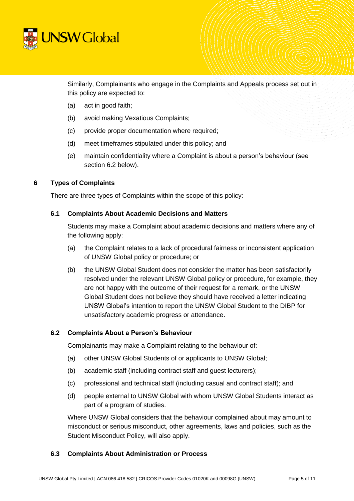

Similarly, Complainants who engage in the Complaints and Appeals process set out in this policy are expected to:

- (a) act in good faith;
- (b) avoid making Vexatious Complaints;
- (c) provide proper documentation where required;
- (d) meet timeframes stipulated under this policy; and
- (e) maintain confidentiality where a Complaint is about a person's behaviour (see section 6.2 below).

## **6 Types of Complaints**

There are three types of Complaints within the scope of this policy:

### **6.1 Complaints About Academic Decisions and Matters**

Students may make a Complaint about academic decisions and matters where any of the following apply:

- (a) the Complaint relates to a lack of procedural fairness or inconsistent application of UNSW Global policy or procedure; or
- (b) the UNSW Global Student does not consider the matter has been satisfactorily resolved under the relevant UNSW Global policy or procedure, for example, they are not happy with the outcome of their request for a remark, or the UNSW Global Student does not believe they should have received a letter indicating UNSW Global's intention to report the UNSW Global Student to the DIBP for unsatisfactory academic progress or attendance.

## **6.2 Complaints About a Person's Behaviour**

Complainants may make a Complaint relating to the behaviour of:

- (a) other UNSW Global Students of or applicants to UNSW Global;
- (b) academic staff (including contract staff and guest lecturers);
- (c) professional and technical staff (including casual and contract staff); and
- (d) people external to UNSW Global with whom UNSW Global Students interact as part of a program of studies.

Where UNSW Global considers that the behaviour complained about may amount to misconduct or serious misconduct, other agreements, laws and policies, such as the Student Misconduct Policy, will also apply.

## **6.3 Complaints About Administration or Process**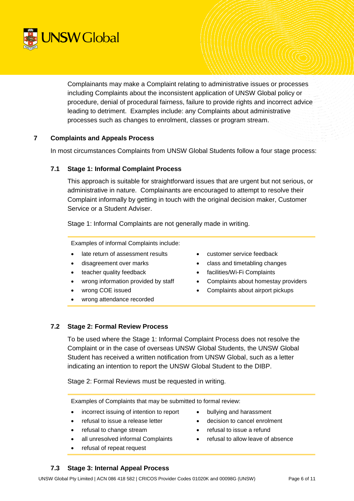

Complainants may make a Complaint relating to administrative issues or processes including Complaints about the inconsistent application of UNSW Global policy or procedure, denial of procedural fairness, failure to provide rights and incorrect advice leading to detriment. Examples include: any Complaints about administrative processes such as changes to enrolment, classes or program stream.

## **7 Complaints and Appeals Process**

In most circumstances Complaints from UNSW Global Students follow a four stage process:

### **7.1 Stage 1: Informal Complaint Process**

This approach is suitable for straightforward issues that are urgent but not serious, or administrative in nature. Complainants are encouraged to attempt to resolve their Complaint informally by getting in touch with the original decision maker, Customer Service or a Student Adviser.

Stage 1: Informal Complaints are not generally made in writing.

Examples of informal Complaints include:

- late return of assessment results
- disagreement over marks
- teacher quality feedback
- wrong information provided by staff
- wrong COE issued
- wrong attendance recorded
- customer service feedback
- class and timetabling changes
- facilities/Wi-Fi Complaints
- Complaints about homestay providers
- Complaints about airport pickups
- 

## **7.2 Stage 2: Formal Review Process**

To be used where the Stage 1: Informal Complaint Process does not resolve the Complaint or in the case of overseas UNSW Global Students, the UNSW Global Student has received a written notification from UNSW Global, such as a letter indicating an intention to report the UNSW Global Student to the DIBP.

Stage 2: Formal Reviews must be requested in writing.

Examples of Complaints that may be submitted to formal review:

- incorrect issuing of intention to report
- refusal to issue a release letter
- refusal to change stream
- all unresolved informal Complaints
- refusal of repeat request
- bullying and harassment
- decision to cancel enrolment
- refusal to issue a refund
- refusal to allow leave of absence

## **7.3 Stage 3: Internal Appeal Process**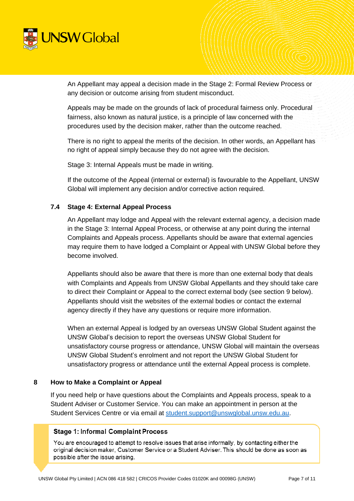

An Appellant may appeal a decision made in the Stage 2: Formal Review Process or any decision or outcome arising from student misconduct.

Appeals may be made on the grounds of lack of procedural fairness only. Procedural fairness, also known as natural justice, is a principle of law concerned with the procedures used by the decision maker, rather than the outcome reached.

There is no right to appeal the merits of the decision. In other words, an Appellant has no right of appeal simply because they do not agree with the decision.

Stage 3: Internal Appeals must be made in writing.

If the outcome of the Appeal (internal or external) is favourable to the Appellant, UNSW Global will implement any decision and/or corrective action required.

## <span id="page-6-0"></span>**7.4 Stage 4: External Appeal Process**

An Appellant may lodge and Appeal with the relevant external agency, a decision made in the Stage 3: Internal Appeal Process, or otherwise at any point during the internal Complaints and Appeals process. Appellants should be aware that external agencies may require them to have lodged a Complaint or Appeal with UNSW Global before they become involved.

Appellants should also be aware that there is more than one external body that deals with Complaints and Appeals from UNSW Global Appellants and they should take care to direct their Complaint or Appeal to the correct external body (see section [9](#page-8-0) below). Appellants should visit the websites of the external bodies or contact the external agency directly if they have any questions or require more information.

When an external Appeal is lodged by an overseas UNSW Global Student against the UNSW Global's decision to report the overseas UNSW Global Student for unsatisfactory course progress or attendance, UNSW Global will maintain the overseas UNSW Global Student's enrolment and not report the UNSW Global Student for unsatisfactory progress or attendance until the external Appeal process is complete.

## **8 How to Make a Complaint or Appeal**

If you need help or have questions about the Complaints and Appeals process, speak to a Student Adviser or Customer Service. You can make an appointment in person at the Student Services Centre or via email at [student.support@unswglobal.unsw.edu.au.](mailto:student.support@unswglobal.unsw.edu.au)

## **Stage 1: Informal Complaint Process**

You are encouraged to attempt to resolve issues that arise informally, by contacting either the original decision maker, Customer Service or a Student Adviser. This should be done as soon as possible after the issue arising.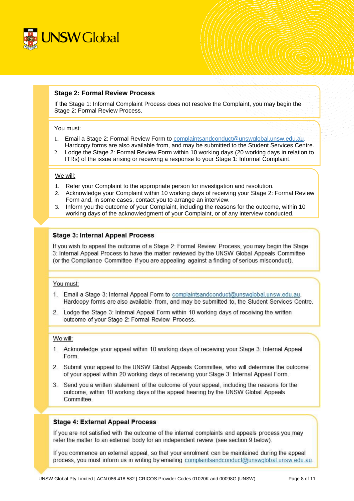

### **Stage 2: Formal Review Process**

If the Stage 1: Informal Complaint Process does not resolve the Complaint, you may begin the Stage 2: Formal Review Process.

#### You must:

- 1. Email a Stage 2: Formal Review Form to [complaintsandconduct@unswglobal.unsw.edu.au.](mailto:complaintsandconduct@unswglobal.unsw.edu.au) Hardcopy forms are also available from, and may be submitted to the Student Services Centre.
- 2. Lodge the Stage 2: Formal Review Form within 10 working days (20 working days in relation to ITRs) of the issue arising or receiving a response to your Stage 1: Informal Complaint.

### We will:

- 1. Refer your Complaint to the appropriate person for investigation and resolution.
- 2. Acknowledge your Complaint within 10 working days of receiving your Stage 2: Formal Review Form and, in some cases, contact you to arrange an interview.
- 3. Inform you the outcome of your Complaint, including the reasons for the outcome, within 10 working days of the acknowledgment of your Complaint, or of any interview conducted.

### **Stage 3: Internal Appeal Process**

If you wish to appeal the outcome of a Stage 2: Formal Review Process, you may begin the Stage 3: Internal Appeal Process to have the matter reviewed by the UNSW Global Appeals Committee (or the Compliance Committee if you are appealing against a finding of serious misconduct).

#### You must:

- 1. Email a Stage 3: Internal Appeal Form to complaintsandconduct@unswglobal.unsw.edu.au. Hardcopy forms are also available from, and may be submitted to, the Student Services Centre.
- 2. Lodge the Stage 3: Internal Appeal Form within 10 working days of receiving the written outcome of your Stage 2: Formal Review Process.

#### We will:

- 1. Acknowledge your appeal within 10 working days of receiving your Stage 3: Internal Appeal Form.
- 2. Submit your appeal to the UNSW Global Appeals Committee, who will determine the outcome of your appeal within 20 working days of receiving your Stage 3: Internal Appeal Form.
- 3. Send you a written statement of the outcome of your appeal, including the reasons for the outcome, within 10 working days of the appeal hearing by the UNSW Global Appeals Committee.

#### **Stage 4: External Appeal Process**

If you are not satisfied with the outcome of the internal complaints and appeals process you may refer the matter to an external body for an independent review (see section 9 below).

If you commence an external appeal, so that your enrolment can be maintained during the appeal process, you must inform us in writing by emailing complaintsandconduct@unswglobal.unsw.edu.au.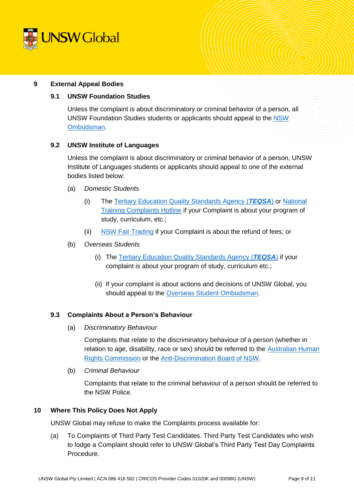

### <span id="page-8-0"></span>**9 External Appeal Bodies**

### **9.1 UNSW Foundation Studies**

Unless the complaint is about discriminatory or criminal behavior of a person, all UNSW Foundation Studies students or applicants should appeal to the [NSW](http://www.ombo.nsw.gov.au/what-we-do/our-work/universities)  [Ombudsman.](http://www.ombo.nsw.gov.au/what-we-do/our-work/universities)

#### **9.2 UNSW Institute of Languages**

Unless the complaint is about discriminatory or criminal behavior of a person, UNSW Institute of Languages students or applicants should appeal to one of the external bodies listed below:

- (a) *Domestic Students*
	- (i) The [Tertiary Education Quality Standards Agency](http://www.teqsa.gov.au/for-students#I) (*TEQSA*) or [National](https://www.education.gov.au/NTCH)  [Training Complaints Hotline](https://www.education.gov.au/NTCH) if your Complaint is about your program of study, curriculum, etc.;
	- (ii) [NSW Fair Trading](http://www.fairtrading.nsw.gov.au/) if your Complaint is about the refund of fees; or
- (b) *Overseas Students*
	- (i) The [Tertiary Education Quality Standards Agency](http://www.teqsa.gov.au/for-students#I) (*TEQSA*) if your complaint is about your program of study, curriculum etc.;
	- (ii) If your complaint is about actions and decisions of UNSW Global, you should appeal to the [Overseas Student Ombudsman.](http://www.oso.gov.au/making-a-complaint/)

#### **9.3 Complaints About a Person's Behaviour**

(a) *Discriminatory Behaviour*

Complaints that relate to the discriminatory behaviour of a person (whether in relation to age, disability, race or sex) should be referred to the [Australian Human](https://www.humanrights.gov.au/)  [Rights Commission](https://www.humanrights.gov.au/) or the [Anti-Discrimination Board of NSW.](http://www.antidiscrimination.justice.nsw.gov.au/adb/adb1_index.html)

(b) *Criminal Behaviour*

Complaints that relate to the criminal behaviour of a person should be referred to the NSW Police.

### **10 Where This Policy Does Not Apply**

UNSW Global may refuse to make the Complaints process available for:

(a) To Complaints of Third Party Test Candidates. Third Party Test Candidates who wish to lodge a Complaint should refer to UNSW Global's Third Party Test Day Complaints Procedure.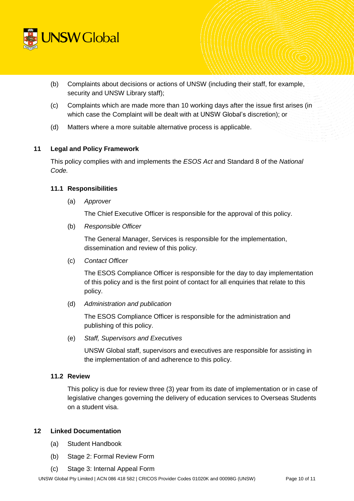

- (b) Complaints about decisions or actions of UNSW (including their staff, for example, security and UNSW Library staff);
- (c) Complaints which are made more than 10 working days after the issue first arises (in which case the Complaint will be dealt with at UNSW Global's discretion); or
- (d) Matters where a more suitable alternative process is applicable.

## **11 Legal and Policy Framework**

This policy complies with and implements the *ESOS Act* and Standard 8 of the *National Code.*

### **11.1 Responsibilities**

(a) *Approver*

The Chief Executive Officer is responsible for the approval of this policy.

(b) *Responsible Officer*

The General Manager, Services is responsible for the implementation, dissemination and review of this policy.

(c) *Contact Officer* 

The ESOS Compliance Officer is responsible for the day to day implementation of this policy and is the first point of contact for all enquiries that relate to this policy.

(d) *Administration and publication*

The ESOS Compliance Officer is responsible for the administration and publishing of this policy.

(e) *Staff, Supervisors and Executives*

UNSW Global staff, supervisors and executives are responsible for assisting in the implementation of and adherence to this policy.

## **11.2 Review**

This policy is due for review three (3) year from its date of implementation or in case of legislative changes governing the delivery of education services to Overseas Students on a student visa.

### **12 Linked Documentation**

- (a) Student Handbook
- (b) Stage 2: Formal Review Form
- (c) Stage 3: Internal Appeal Form

UNSW Global Pty Limited | ACN 086 418 582 | CRICOS Provider Codes 01020K and 00098G (UNSW) Page 10 of 11